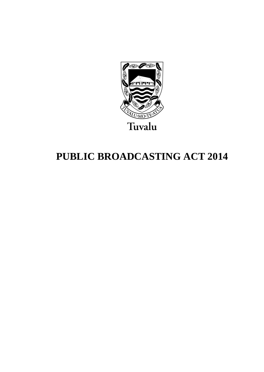

# **PUBLIC BROADCASTING ACT 2014**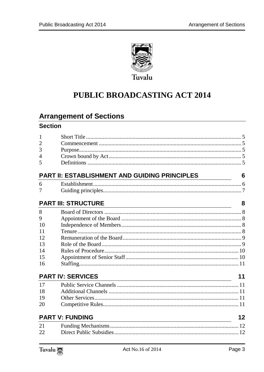

# PUBLIC BROADCASTING ACT 2014

### **Arrangement of Sections**

### **Section**

| 1  |                                               |    |
|----|-----------------------------------------------|----|
| 2  |                                               |    |
| 3  |                                               |    |
| 4  |                                               |    |
| 5  |                                               |    |
|    | PART II: ESTABLISHMENT AND GUIDING PRINCIPLES | 6  |
| 6  |                                               |    |
| 7  |                                               |    |
|    | <b>PART III: STRUCTURE</b>                    | 8  |
| 8  |                                               |    |
| 9  |                                               |    |
| 10 |                                               |    |
| 11 |                                               |    |
| 12 |                                               |    |
| 13 |                                               |    |
| 14 |                                               |    |
| 15 |                                               |    |
| 16 |                                               |    |
|    | <b>PART IV: SERVICES</b>                      | 11 |
| 17 |                                               |    |
| 18 |                                               |    |
| 19 |                                               |    |
| 20 |                                               |    |
|    | <b>PART V: FUNDING</b>                        | 12 |
| 21 |                                               |    |
| 22 |                                               |    |
|    |                                               |    |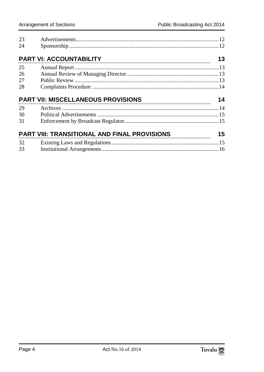| 23 |                                                                                                  |    |
|----|--------------------------------------------------------------------------------------------------|----|
| 24 |                                                                                                  |    |
|    | <b>PART VI: ACCOUNTABILITY</b>                                                                   | 13 |
| 25 |                                                                                                  |    |
| 26 |                                                                                                  |    |
| 27 |                                                                                                  |    |
| 28 |                                                                                                  |    |
|    |                                                                                                  |    |
|    | <b>PART VII: MISCELLANEOUS PROVISIONS</b>                                                        |    |
| 29 | $\overline{\phantom{a_{1}^{1}}\phantom{a_{1}}\phantom{a_{1}}\phantom{a_{1}}\phantom{a_{1}}}}$ 14 |    |
| 30 |                                                                                                  |    |
| 31 |                                                                                                  |    |
|    | <b>PART VIII: TRANSITIONAL AND FINAL PROVISIONS</b>                                              |    |
| 32 |                                                                                                  |    |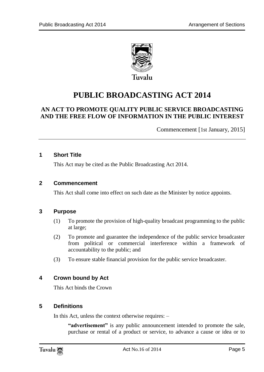

# **PUBLIC BROADCASTING ACT 2014**

### **AN ACT TO PROMOTE QUALITY PUBLIC SERVICE BROADCASTING AND THE FREE FLOW OF INFORMATION IN THE PUBLIC INTEREST**

Commencement [1st January, 2015]

#### <span id="page-4-0"></span>**1 Short Title**

This Act may be cited as the Public Broadcasting Act 2014.

#### <span id="page-4-1"></span>**2 Commencement**

This Act shall come into effect on such date as the Minister by notice appoints.

#### <span id="page-4-2"></span>**3 Purpose**

- (1) To promote the provision of high-quality broadcast programming to the public at large;
- (2) To promote and guarantee the independence of the public service broadcaster from political or commercial interference within a framework of accountability to the public; and
- (3) To ensure stable financial provision for the public service broadcaster.

#### <span id="page-4-3"></span>**4 Crown bound by Act**

This Act binds the Crown

#### <span id="page-4-4"></span>**5 Definitions**

In this Act, unless the context otherwise requires: –

**"advertisement"** is any public announcement intended to promote the sale, purchase or rental of a product or service, to advance a cause or idea or to

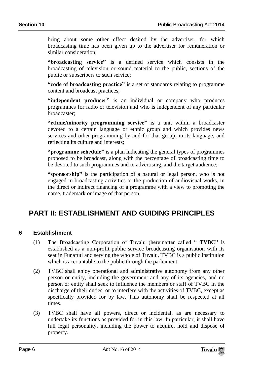bring about some other effect desired by the advertiser, for which broadcasting time has been given up to the advertiser for remuneration or similar consideration;

**"broadcasting service"** is a defined service which consists in the broadcasting of television or sound material to the public, sections of the public or subscribers to such service;

**"code of broadcasting practice"** is a set of standards relating to programme content and broadcast practices;

**"independent producer"** is an individual or company who produces programmes for radio or television and who is independent of any particular broadcaster;

**"ethnic/minority programming service"** is a unit within a broadcaster devoted to a certain language or ethnic group and which provides news services and other programming by and for that group, in its language, and reflecting its culture and interests;

**"programme schedule"** is a plan indicating the general types of programmes proposed to be broadcast, along with the percentage of broadcasting time to be devoted to such programmes and to advertising, and the target audience;

**"sponsorship"** is the participation of a natural or legal person, who is not engaged in broadcasting activities or the production of audiovisual works, in the direct or indirect financing of a programme with a view to promoting the name, trademark or image of that person.

### <span id="page-5-0"></span>**PART II: ESTABLISHMENT AND GUIDING PRINCIPLES**

#### <span id="page-5-1"></span>**6 Establishment**

- (1) The Broadcasting Corporation of Tuvalu (hereinafter called " **TVBC"** is established as a non-profit public service broadcasting organisation with its seat in Funafuti and serving the whole of Tuvalu. TVBC is a public institution which is accountable to the public through the parliament.
- (2) TVBC shall enjoy operational and administrative autonomy from any other person or entity, including the government and any of its agencies, and no person or entity shall seek to influence the members or staff of TVBC in the discharge of their duties, or to interfere with the activities of TVBC, except as specifically provided for by law. This autonomy shall be respected at all times.
- (3) TVBC shall have all powers, direct or incidental, as are necessary to undertake its functions as provided for in this law. In particular, it shall have full legal personality, including the power to acquire, hold and dispose of property.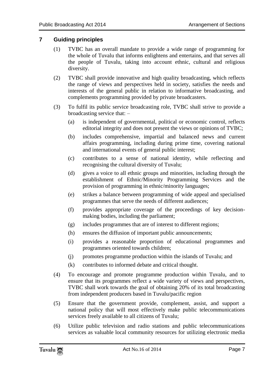#### <span id="page-6-0"></span>**7 Guiding principles**

- (1) TVBC has an overall mandate to provide a wide range of programming for the whole of Tuvalu that informs enlightens and entertains, and that serves all the people of Tuvalu, taking into account ethnic, cultural and religious diversity.
- (2) TVBC shall provide innovative and high quality broadcasting, which reflects the range of views and perspectives held in society, satisfies the needs and interests of the general public in relation to informative broadcasting, and complements programming provided by private broadcasters.
- (3) To fulfil its public service broadcasting role, TVBC shall strive to provide a broadcasting service that: –
	- (a) is independent of governmental, political or economic control, reflects editorial integrity and does not present the views or opinions of TVBC;
	- (b) includes comprehensive, impartial and balanced news and current affairs programming, including during prime time, covering national and international events of general public interest;
	- (c) contributes to a sense of national identity, while reflecting and recognising the cultural diversity of Tuvalu;
	- (d) gives a voice to all ethnic groups and minorities, including through the establishment of Ethnic/Minority Programming Services and the provision of programming in ethnic/minority languages;
	- (e) strikes a balance between programming of wide appeal and specialised programmes that serve the needs of different audiences;
	- (f) provides appropriate coverage of the proceedings of key decisionmaking bodies, including the parliament;
	- (g) includes programmes that are of interest to different regions;
	- (h) ensures the diffusion of important public announcements;
	- (i) provides a reasonable proportion of educational programmes and programmes oriented towards children;
	- (j) promotes programme production within the islands of Tuvalu; and
	- (k) contributes to informed debate and critical thought.
- (4) To encourage and promote programme production within Tuvalu, and to ensure that its programmes reflect a wide variety of views and perspectives, TVBC shall work towards the goal of obtaining 20% of its total broadcasting from independent producers based in Tuvalu/pacific region
- (5) Ensure that the government provide, complement, assist, and support a national policy that will most effectively make public telecommunications services freely available to all citizens of Tuvalu;
- (6) Utilize public television and radio stations and public telecommunications services as valuable local community resources for utilizing electronic media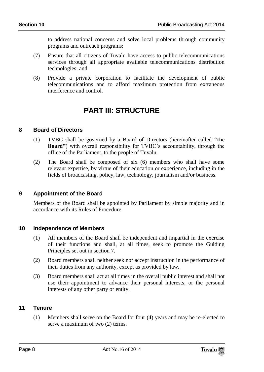to address national concerns and solve local problems through community programs and outreach programs;

- (7) Ensure that all citizens of Tuvalu have access to public telecommunications services through all appropriate available telecommunications distribution technologies; and
- <span id="page-7-0"></span>(8) Provide a private corporation to facilitate the development of public telecommunications and to afford maximum protection from extraneous interference and control.

### **PART III: STRUCTURE**

#### <span id="page-7-1"></span>**8 Board of Directors**

- (1) TVBC shall be governed by a Board of Directors (hereinafter called **"the Board"**) with overall responsibility for TVBC's accountability, through the office of the Parliament, to the people of Tuvalu.
- (2) The Board shall be composed of six (6) members who shall have some relevant expertise, by virtue of their education or experience, including in the fields of broadcasting, policy, law, technology, journalism and/or business.

### <span id="page-7-2"></span>**9 Appointment of the Board**

Members of the Board shall be appointed by Parliament by simple majority and in accordance with its Rules of Procedure.

#### <span id="page-7-3"></span>**10 Independence of Members**

- (1) All members of the Board shall be independent and impartial in the exercise of their functions and shall, at all times, seek to promote the Guiding Principles set out in section 7.
- (2) Board members shall neither seek nor accept instruction in the performance of their duties from any authority, except as provided by law.
- (3) Board members shall act at all times in the overall public interest and shall not use their appointment to advance their personal interests, or the personal interests of any other party or entity.

#### <span id="page-7-4"></span>**11 Tenure**

(1) Members shall serve on the Board for four (4) years and may be re-elected to serve a maximum of two (2) terms.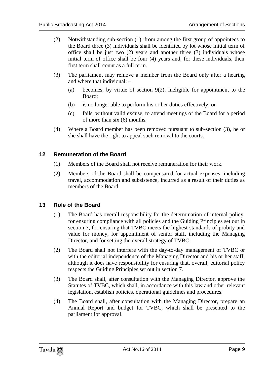- (2) Notwithstanding sub-section (1), from among the first group of appointees to the Board three (3) individuals shall be identified by lot whose initial term of office shall be just two (2) years and another three (3) individuals whose initial term of office shall be four (4) years and, for these individuals, their first term shall count as a full term.
- (3) The parliament may remove a member from the Board only after a hearing and where that individual: –
	- (a) becomes, by virtue of section 9(2), ineligible for appointment to the Board;
	- (b) is no longer able to perform his or her duties effectively; or
	- (c) fails, without valid excuse, to attend meetings of the Board for a period of more than six (6) months.
- (4) Where a Board member has been removed pursuant to sub-section (3), he or she shall have the right to appeal such removal to the courts.

#### <span id="page-8-0"></span>**12 Remuneration of the Board**

- (1) Members of the Board shall not receive remuneration for their work.
- (2) Members of the Board shall be compensated for actual expenses, including travel, accommodation and subsistence, incurred as a result of their duties as members of the Board.

#### <span id="page-8-1"></span>**13 Role of the Board**

- (1) The Board has overall responsibility for the determination of internal policy, for ensuring compliance with all policies and the Guiding Principles set out in section 7, for ensuring that TVBC meets the highest standards of probity and value for money, for appointment of senior staff, including the Managing Director, and for setting the overall strategy of TVBC.
- (2) The Board shall not interfere with the day-to-day management of TVBC or with the editorial independence of the Managing Director and his or her staff, although it does have responsibility for ensuring that, overall, editorial policy respects the Guiding Principles set out in section 7.
- (3) The Board shall, after consultation with the Managing Director, approve the Statutes of TVBC, which shall, in accordance with this law and other relevant legislation, establish policies, operational guidelines and procedures.
- (4) The Board shall, after consultation with the Managing Director, prepare an Annual Report and budget for TVBC, which shall be presented to the parliament for approval.

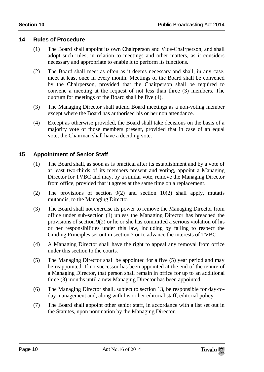#### <span id="page-9-0"></span>**14 Rules of Procedure**

- (1) The Board shall appoint its own Chairperson and Vice-Chairperson, and shall adopt such rules, in relation to meetings and other matters, as it considers necessary and appropriate to enable it to perform its functions.
- (2) The Board shall meet as often as it deems necessary and shall, in any case, meet at least once in every month. Meetings of the Board shall be convened by the Chairperson, provided that the Chairperson shall be required to convene a meeting at the request of not less than three (3) members. The quorum for meetings of the Board shall be five (4).
- (3) The Managing Director shall attend Board meetings as a non-voting member except where the Board has authorised his or her non attendance.
- (4) Except as otherwise provided, the Board shall take decisions on the basis of a majority vote of those members present, provided that in case of an equal vote, the Chairman shall have a deciding vote.

#### <span id="page-9-1"></span>**15 Appointment of Senior Staff**

- (1) The Board shall, as soon as is practical after its establishment and by a vote of at least two-thirds of its members present and voting, appoint a Managing Director for TVBC and may, by a similar vote, remove the Managing Director from office, provided that it agrees at the same time on a replacement.
- (2) The provisions of section 9(2) and section 10(2) shall apply, mutatis mutandis, to the Managing Director.
- (3) The Board shall not exercise its power to remove the Managing Director from office under sub-section (1) unless the Managing Director has breached the provisions of section 9(2) or he or she has committed a serious violation of his or her responsibilities under this law, including by failing to respect the Guiding Principles set out in section 7 or to advance the interests of TVBC.
- (4) A Managing Director shall have the right to appeal any removal from office under this section to the courts.
- (5) The Managing Director shall be appointed for a five (5) year period and may be reappointed. If no successor has been appointed at the end of the tenure of a Managing Director, that person shall remain in office for up to an additional three (3) months until a new Managing Director has been appointed.
- (6) The Managing Director shall, subject to section 13, be responsible for day-today management and, along with his or her editorial staff, editorial policy.
- (7) The Board shall appoint other senior staff, in accordance with a list set out in the Statutes, upon nomination by the Managing Director.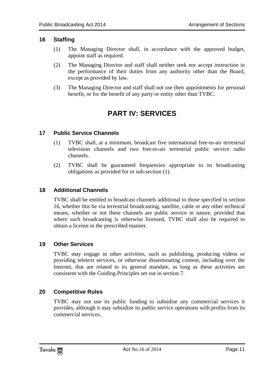#### <span id="page-10-0"></span>**16 Staffing**

- (1) The Managing Director shall, in accordance with the approved budget, appoint staff as required.
- (2) The Managing Director and staff shall neither seek nor accept instruction in the performance of their duties from any authority other than the Board, except as provided by law.
- <span id="page-10-1"></span>(3) The Managing Director and staff shall not use their appointments for personal benefit, or for the benefit of any party or entity other than TVBC.

### **PART IV: SERVICES**

#### <span id="page-10-2"></span>**17 Public Service Channels**

- (1) TVBC shall, at a minimum, broadcast five international free-to-air terrestrial television channels and two free-to-air terrestrial public service radio channels.
- (2) TVBC shall be guaranteed frequencies appropriate to its broadcasting obligations as provided for in sub-section (1).

#### <span id="page-10-3"></span>**18 Additional Channels**

TVBC shall be entitled to broadcast channels additional to those specified in section 16, whether this be via terrestrial broadcasting, satellite, cable or any other technical means, whether or not these channels are public service in nature, provided that where such broadcasting is otherwise licensed, TVBC shall also be required to obtain a license in the prescribed manner.

#### <span id="page-10-4"></span>**19 Other Services**

TVBC may engage in other activities, such as publishing, producing videos or providing teletext services, or otherwise disseminating content, including over the Internet, that are related to its general mandate, as long as these activities are consistent with the Guiding Principles set out in section 7.

#### <span id="page-10-5"></span>**20 Competitive Rules**

TVBC may not use its public funding to subsidise any commercial services it provides, although it may subsidize its public service operations with profits from its commercial services.

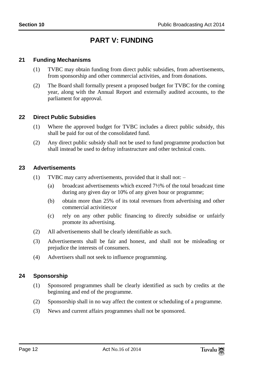### **PART V: FUNDING**

#### <span id="page-11-1"></span><span id="page-11-0"></span>**21 Funding Mechanisms**

- (1) TVBC may obtain funding from direct public subsidies, from advertisements, from sponsorship and other commercial activities, and from donations.
- (2) The Board shall formally present a proposed budget for TVBC for the coming year, along with the Annual Report and externally audited accounts, to the parliament for approval.

#### <span id="page-11-2"></span>**22 Direct Public Subsidies**

- (1) Where the approved budget for TVBC includes a direct public subsidy, this shall be paid for out of the consolidated fund.
- (2) Any direct public subsidy shall not be used to fund programme production but shall instead be used to defray infrastructure and other technical costs.

#### <span id="page-11-3"></span>**23 Advertisements**

- (1) TVBC may carry advertisements, provided that it shall not:
	- (a) broadcast advertisements which exceed 7½% of the total broadcast time during any given day or 10% of any given hour or programme;
	- (b) obtain more than 25% of its total revenues from advertising and other commercial activities; or
	- (c) rely on any other public financing to directly subsidise or unfairly promote its advertising.
- (2) All advertisements shall be clearly identifiable as such.
- (3) Advertisements shall be fair and honest, and shall not be misleading or prejudice the interests of consumers.
- (4) Advertisers shall not seek to influence programming.

#### <span id="page-11-4"></span>**24 Sponsorship**

- (1) Sponsored programmes shall be clearly identified as such by credits at the beginning and end of the programme.
- (2) Sponsorship shall in no way affect the content or scheduling of a programme.
- (3) News and current affairs programmes shall not be sponsored.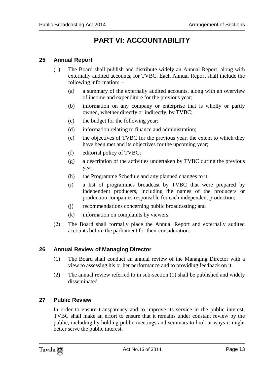## **PART VI: ACCOUNTABILITY**

#### <span id="page-12-1"></span><span id="page-12-0"></span>**25 Annual Report**

- (1) The Board shall publish and distribute widely an Annual Report, along with externally audited accounts, for TVBC. Each Annual Report shall include the following information: –
	- (a) a summary of the externally audited accounts, along with an overview of income and expenditure for the previous year;
	- (b) information on any company or enterprise that is wholly or partly owned, whether directly or indirectly, by TVBC;
	- (c) the budget for the following year;
	- (d) information relating to finance and administration;
	- (e) the objectives of TVBC for the previous year, the extent to which they have been met and its objectives for the upcoming year;
	- (f) editorial policy of TVBC;
	- (g) a description of the activities undertaken by TVBC during the previous year;
	- (h) the Programme Schedule and any planned changes to it;
	- (i) a list of programmes broadcast by TVBC that were prepared by independent producers, including the names of the producers or production companies responsible for each independent production;
	- (j) recommendations concerning public broadcasting; and
	- (k) information on complaints by viewers.
- (2) The Board shall formally place the Annual Report and externally audited accounts before the parliament for their consideration.

#### <span id="page-12-2"></span>**26 Annual Review of Managing Director**

- (1) The Board shall conduct an annual review of the Managing Director with a view to assessing his or her performance and to providing feedback on it.
- (2) The annual review referred to in sub-section (1) shall be published and widely disseminated.

#### <span id="page-12-3"></span>**27 Public Review**

In order to ensure transparency and to improve its service in the public interest, TVBC shall make an effort to ensure that it remains under constant review by the public, including by holding public meetings and seminars to look at ways it might better serve the public interest.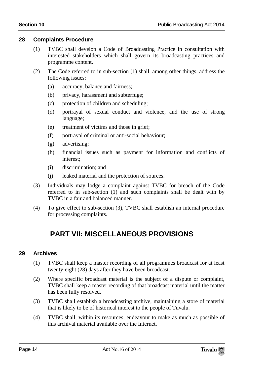#### <span id="page-13-0"></span>**28 Complaints Procedure**

- (1) TVBC shall develop a Code of Broadcasting Practice in consultation with interested stakeholders which shall govern its broadcasting practices and programme content.
- (2) The Code referred to in sub-section (1) shall, among other things, address the following issues: –
	- (a) accuracy, balance and fairness;
	- (b) privacy, harassment and subterfuge;
	- (c) protection of children and scheduling;
	- (d) portrayal of sexual conduct and violence, and the use of strong language;
	- (e) treatment of victims and those in grief;
	- (f) portrayal of criminal or anti-social behaviour;
	- (g) advertising;
	- (h) financial issues such as payment for information and conflicts of interest;
	- (i) discrimination; and
	- (j) leaked material and the protection of sources.
- (3) Individuals may lodge a complaint against TVBC for breach of the Code referred to in sub-section (1) and such complaints shall be dealt with by TVBC in a fair and balanced manner.
- <span id="page-13-1"></span>(4) To give effect to sub-section (3), TVBC shall establish an internal procedure for processing complaints.

### **PART VII: MISCELLANEOUS PROVISIONS**

#### <span id="page-13-2"></span>**29 Archives**

- (1) TVBC shall keep a master recording of all programmes broadcast for at least twenty-eight (28) days after they have been broadcast.
- (2) Where specific broadcast material is the subject of a dispute or complaint, TVBC shall keep a master recording of that broadcast material until the matter has been fully resolved.
- (3) TVBC shall establish a broadcasting archive, maintaining a store of material that is likely to be of historical interest to the people of Tuvalu.
- (4) TVBC shall, within its resources, endeavour to make as much as possible of this archival material available over the Internet.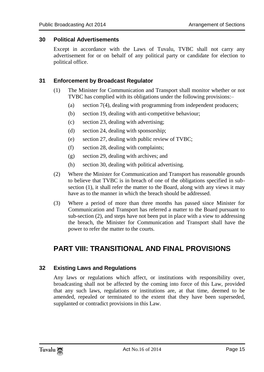#### <span id="page-14-0"></span>**30 Political Advertisements**

Except in accordance with the Laws of Tuvalu, TVBC shall not carry any advertisement for or on behalf of any political party or candidate for election to political office.

#### <span id="page-14-1"></span>**31 Enforcement by Broadcast Regulator**

- (1) The Minister for Communication and Transport shall monitor whether or not TVBC has complied with its obligations under the following provisions:–
	- (a) section 7(4), dealing with programming from independent producers;
	- (b) section 19, dealing with anti-competitive behaviour;
	- (c) section 23, dealing with advertising;
	- (d) section 24, dealing with sponsorship;
	- (e) section 27, dealing with public review of TVBC;
	- (f) section 28, dealing with complaints;
	- (g) section 29, dealing with archives; and
	- (h) section 30, dealing with political advertising.
- (2) Where the Minister for Communication and Transport has reasonable grounds to believe that TVBC is in breach of one of the obligations specified in subsection (1), it shall refer the matter to the Board, along with any views it may have as to the manner in which the breach should be addressed.
- (3) Where a period of more than three months has passed since Minister for Communication and Transport has referred a matter to the Board pursuant to sub-section (2), and steps have not been put in place with a view to addressing the breach, the Minister for Communication and Transport shall have the power to refer the matter to the courts.

### <span id="page-14-2"></span>**PART VIII: TRANSITIONAL AND FINAL PROVISIONS**

#### <span id="page-14-3"></span>**32 Existing Laws and Regulations**

Any laws or regulations which affect, or institutions with responsibility over, broadcasting shall not be affected by the coming into force of this Law, provided that any such laws, regulations or institutions are, at that time, deemed to be amended, repealed or terminated to the extent that they have been superseded, supplanted or contradict provisions in this Law.